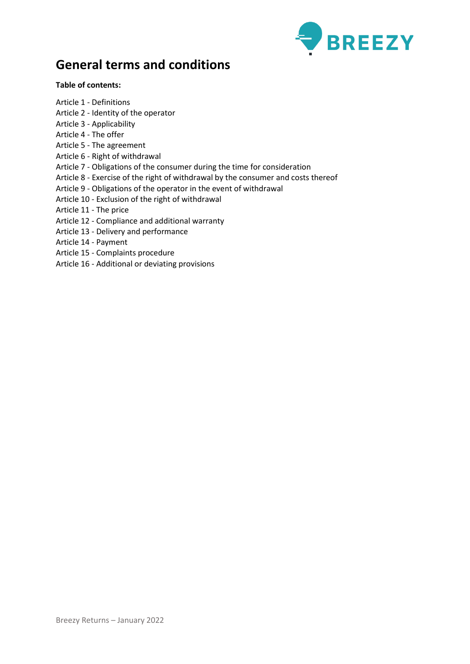

# **General terms and conditions**

# **Table of contents:**

- Article 1 Definitions
- Article 2 Identity of the operator
- Article 3 Applicability
- Article 4 The offer
- Article 5 The agreement
- Article 6 Right of withdrawal
- Article 7 Obligations of the consumer during the time for consideration
- Article 8 Exercise of the right of withdrawal by the consumer and costs thereof
- Article 9 Obligations of the operator in the event of withdrawal
- Article 10 Exclusion of the right of withdrawal
- Article 11 The price
- Article 12 Compliance and additional warranty
- Article 13 Delivery and performance
- Article 14 Payment
- Article 15 Complaints procedure
- Article 16 Additional or deviating provisions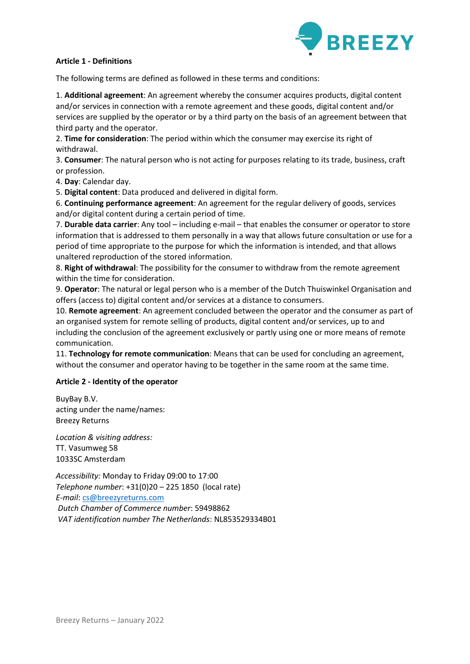

# **Article 1 - Definitions**

The following terms are defined as followed in these terms and conditions:

1. **Additional agreement**: An agreement whereby the consumer acquires products, digital content and/or services in connection with a remote agreement and these goods, digital content and/or services are supplied by the operator or by a third party on the basis of an agreement between that third party and the operator.

2. **Time for consideration**: The period within which the consumer may exercise its right of withdrawal.

3. **Consumer**: The natural person who is not acting for purposes relating to its trade, business, craft or profession.

4. **Day**: Calendar day.

5. **Digital content**: Data produced and delivered in digital form.

6. **Continuing performance agreement**: An agreement for the regular delivery of goods, services and/or digital content during a certain period of time.

7. **Durable data carrier**: Any tool – including e-mail – that enables the consumer or operator to store information that is addressed to them personally in a way that allows future consultation or use for a period of time appropriate to the purpose for which the information is intended, and that allows unaltered reproduction of the stored information.

8. **Right of withdrawal**: The possibility for the consumer to withdraw from the remote agreement within the time for consideration.

9. **Operator**: The natural or legal person who is a member of the Dutch Thuiswinkel Organisation and offers (access to) digital content and/or services at a distance to consumers.

10. **Remote agreement**: An agreement concluded between the operator and the consumer as part of an organised system for remote selling of products, digital content and/or services, up to and including the conclusion of the agreement exclusively or partly using one or more means of remote communication.

11. **Technology for remote communication**: Means that can be used for concluding an agreement, without the consumer and operator having to be together in the same room at the same time.

# **Article 2 - Identity of the operator**

BuyBay B.V. acting under the name/names: Breezy Returns

*Location & visiting address:* TT. Vasumweg 58 1033SC Amsterdam

*Accessibility:* Monday to Friday 09:00 to 17:00 *Telephone number*: +31(0)20 – 225 1850 (local rate) *E-mail*: [cs@breezyreturns.com](mailto:cs@breezyreturns.com) *Dutch Chamber of Commerce number*: 59498862 *VAT identification number The Netherlands*: NL853529334B01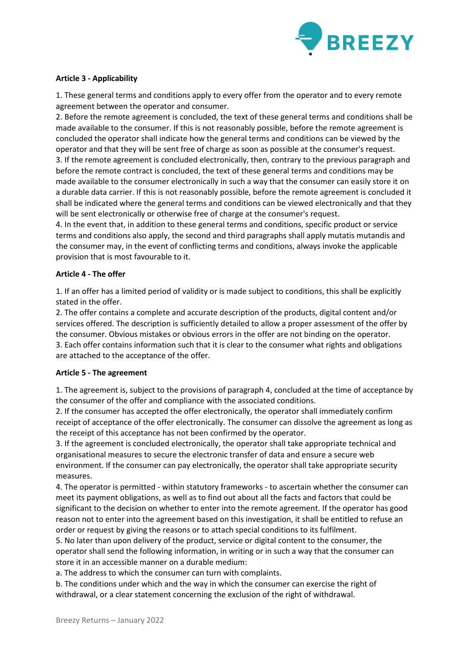

# **Article 3 - Applicability**

1. These general terms and conditions apply to every offer from the operator and to every remote agreement between the operator and consumer.

2. Before the remote agreement is concluded, the text of these general terms and conditions shall be made available to the consumer. If this is not reasonably possible, before the remote agreement is concluded the operator shall indicate how the general terms and conditions can be viewed by the operator and that they will be sent free of charge as soon as possible at the consumer's request. 3. If the remote agreement is concluded electronically, then, contrary to the previous paragraph and before the remote contract is concluded, the text of these general terms and conditions may be made available to the consumer electronically in such a way that the consumer can easily store it on a durable data carrier. If this is not reasonably possible, before the remote agreement is concluded it shall be indicated where the general terms and conditions can be viewed electronically and that they will be sent electronically or otherwise free of charge at the consumer's request.

4. In the event that, in addition to these general terms and conditions, specific product or service terms and conditions also apply, the second and third paragraphs shall apply mutatis mutandis and the consumer may, in the event of conflicting terms and conditions, always invoke the applicable provision that is most favourable to it.

## **Article 4 - The offer**

1. If an offer has a limited period of validity or is made subject to conditions, this shall be explicitly stated in the offer.

2. The offer contains a complete and accurate description of the products, digital content and/or services offered. The description is sufficiently detailed to allow a proper assessment of the offer by the consumer. Obvious mistakes or obvious errors in the offer are not binding on the operator. 3. Each offer contains information such that it is clear to the consumer what rights and obligations are attached to the acceptance of the offer.

## **Article 5 - The agreement**

1. The agreement is, subject to the provisions of paragraph 4, concluded at the time of acceptance by the consumer of the offer and compliance with the associated conditions.

2. If the consumer has accepted the offer electronically, the operator shall immediately confirm receipt of acceptance of the offer electronically. The consumer can dissolve the agreement as long as the receipt of this acceptance has not been confirmed by the operator.

3. If the agreement is concluded electronically, the operator shall take appropriate technical and organisational measures to secure the electronic transfer of data and ensure a secure web environment. If the consumer can pay electronically, the operator shall take appropriate security measures.

4. The operator is permitted - within statutory frameworks - to ascertain whether the consumer can meet its payment obligations, as well as to find out about all the facts and factors that could be significant to the decision on whether to enter into the remote agreement. If the operator has good reason not to enter into the agreement based on this investigation, it shall be entitled to refuse an order or request by giving the reasons or to attach special conditions to its fulfilment.

5. No later than upon delivery of the product, service or digital content to the consumer, the operator shall send the following information, in writing or in such a way that the consumer can store it in an accessible manner on a durable medium:

a. The address to which the consumer can turn with complaints.

b. The conditions under which and the way in which the consumer can exercise the right of withdrawal, or a clear statement concerning the exclusion of the right of withdrawal.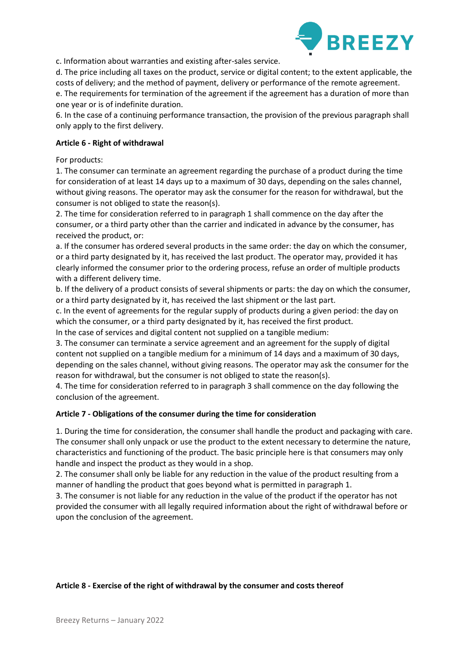

c. Information about warranties and existing after-sales service.

d. The price including all taxes on the product, service or digital content; to the extent applicable, the costs of delivery; and the method of payment, delivery or performance of the remote agreement. e. The requirements for termination of the agreement if the agreement has a duration of more than one year or is of indefinite duration.

6. In the case of a continuing performance transaction, the provision of the previous paragraph shall only apply to the first delivery.

### **Article 6 - Right of withdrawal**

For products:

1. The consumer can terminate an agreement regarding the purchase of a product during the time for consideration of at least 14 days up to a maximum of 30 days, depending on the sales channel, without giving reasons. The operator may ask the consumer for the reason for withdrawal, but the consumer is not obliged to state the reason(s).

2. The time for consideration referred to in paragraph 1 shall commence on the day after the consumer, or a third party other than the carrier and indicated in advance by the consumer, has received the product, or:

a. If the consumer has ordered several products in the same order: the day on which the consumer, or a third party designated by it, has received the last product. The operator may, provided it has clearly informed the consumer prior to the ordering process, refuse an order of multiple products with a different delivery time.

b. If the delivery of a product consists of several shipments or parts: the day on which the consumer, or a third party designated by it, has received the last shipment or the last part.

c. In the event of agreements for the regular supply of products during a given period: the day on which the consumer, or a third party designated by it, has received the first product.

In the case of services and digital content not supplied on a tangible medium:

3. The consumer can terminate a service agreement and an agreement for the supply of digital content not supplied on a tangible medium for a minimum of 14 days and a maximum of 30 days, depending on the sales channel, without giving reasons. The operator may ask the consumer for the reason for withdrawal, but the consumer is not obliged to state the reason(s).

4. The time for consideration referred to in paragraph 3 shall commence on the day following the conclusion of the agreement.

## **Article 7 - Obligations of the consumer during the time for consideration**

1. During the time for consideration, the consumer shall handle the product and packaging with care. The consumer shall only unpack or use the product to the extent necessary to determine the nature, characteristics and functioning of the product. The basic principle here is that consumers may only handle and inspect the product as they would in a shop.

2. The consumer shall only be liable for any reduction in the value of the product resulting from a manner of handling the product that goes beyond what is permitted in paragraph 1.

3. The consumer is not liable for any reduction in the value of the product if the operator has not provided the consumer with all legally required information about the right of withdrawal before or upon the conclusion of the agreement.

#### **Article 8 - Exercise of the right of withdrawal by the consumer and costs thereof**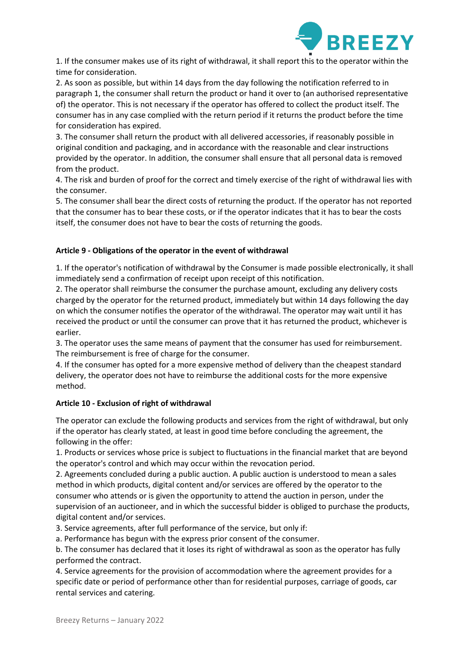

1. If the consumer makes use of its right of withdrawal, it shall report this to the operator within the time for consideration.

2. As soon as possible, but within 14 days from the day following the notification referred to in paragraph 1, the consumer shall return the product or hand it over to (an authorised representative of) the operator. This is not necessary if the operator has offered to collect the product itself. The consumer has in any case complied with the return period if it returns the product before the time for consideration has expired.

3. The consumer shall return the product with all delivered accessories, if reasonably possible in original condition and packaging, and in accordance with the reasonable and clear instructions provided by the operator. In addition, the consumer shall ensure that all personal data is removed from the product.

4. The risk and burden of proof for the correct and timely exercise of the right of withdrawal lies with the consumer.

5. The consumer shall bear the direct costs of returning the product. If the operator has not reported that the consumer has to bear these costs, or if the operator indicates that it has to bear the costs itself, the consumer does not have to bear the costs of returning the goods.

# **Article 9 - Obligations of the operator in the event of withdrawal**

1. If the operator's notification of withdrawal by the Consumer is made possible electronically, it shall immediately send a confirmation of receipt upon receipt of this notification.

2. The operator shall reimburse the consumer the purchase amount, excluding any delivery costs charged by the operator for the returned product, immediately but within 14 days following the day on which the consumer notifies the operator of the withdrawal. The operator may wait until it has received the product or until the consumer can prove that it has returned the product, whichever is earlier.

3. The operator uses the same means of payment that the consumer has used for reimbursement. The reimbursement is free of charge for the consumer.

4. If the consumer has opted for a more expensive method of delivery than the cheapest standard delivery, the operator does not have to reimburse the additional costs for the more expensive method.

## **Article 10 - Exclusion of right of withdrawal**

The operator can exclude the following products and services from the right of withdrawal, but only if the operator has clearly stated, at least in good time before concluding the agreement, the following in the offer:

1. Products or services whose price is subject to fluctuations in the financial market that are beyond the operator's control and which may occur within the revocation period.

2. Agreements concluded during a public auction. A public auction is understood to mean a sales method in which products, digital content and/or services are offered by the operator to the consumer who attends or is given the opportunity to attend the auction in person, under the supervision of an auctioneer, and in which the successful bidder is obliged to purchase the products, digital content and/or services.

3. Service agreements, after full performance of the service, but only if:

a. Performance has begun with the express prior consent of the consumer.

b. The consumer has declared that it loses its right of withdrawal as soon as the operator has fully performed the contract.

4. Service agreements for the provision of accommodation where the agreement provides for a specific date or period of performance other than for residential purposes, carriage of goods, car rental services and catering.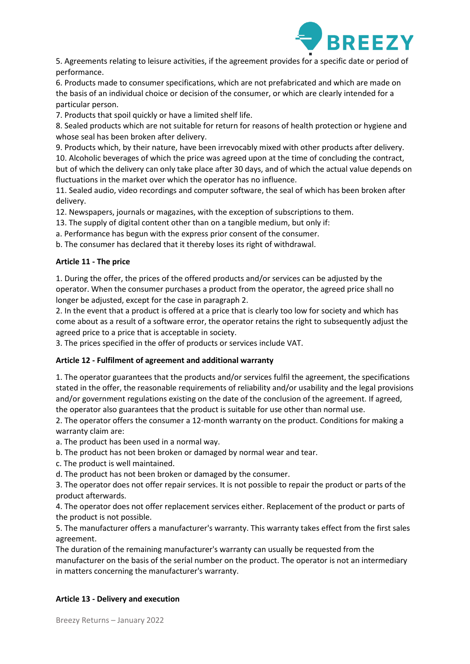

5. Agreements relating to leisure activities, if the agreement provides for a specific date or period of performance.

6. Products made to consumer specifications, which are not prefabricated and which are made on the basis of an individual choice or decision of the consumer, or which are clearly intended for a particular person.

7. Products that spoil quickly or have a limited shelf life.

8. Sealed products which are not suitable for return for reasons of health protection or hygiene and whose seal has been broken after delivery.

9. Products which, by their nature, have been irrevocably mixed with other products after delivery. 10. Alcoholic beverages of which the price was agreed upon at the time of concluding the contract,

but of which the delivery can only take place after 30 days, and of which the actual value depends on fluctuations in the market over which the operator has no influence.

11. Sealed audio, video recordings and computer software, the seal of which has been broken after delivery.

12. Newspapers, journals or magazines, with the exception of subscriptions to them.

13. The supply of digital content other than on a tangible medium, but only if:

a. Performance has begun with the express prior consent of the consumer.

b. The consumer has declared that it thereby loses its right of withdrawal.

# **Article 11 - The price**

1. During the offer, the prices of the offered products and/or services can be adjusted by the operator. When the consumer purchases a product from the operator, the agreed price shall no longer be adjusted, except for the case in paragraph 2.

2. In the event that a product is offered at a price that is clearly too low for society and which has come about as a result of a software error, the operator retains the right to subsequently adjust the agreed price to a price that is acceptable in society.

3. The prices specified in the offer of products or services include VAT.

## **Article 12 - Fulfilment of agreement and additional warranty**

1. The operator guarantees that the products and/or services fulfil the agreement, the specifications stated in the offer, the reasonable requirements of reliability and/or usability and the legal provisions and/or government regulations existing on the date of the conclusion of the agreement. If agreed, the operator also guarantees that the product is suitable for use other than normal use.

2. The operator offers the consumer a 12-month warranty on the product. Conditions for making a warranty claim are:

a. The product has been used in a normal way.

b. The product has not been broken or damaged by normal wear and tear.

c. The product is well maintained.

d. The product has not been broken or damaged by the consumer.

3. The operator does not offer repair services. It is not possible to repair the product or parts of the product afterwards.

4. The operator does not offer replacement services either. Replacement of the product or parts of the product is not possible.

5. The manufacturer offers a manufacturer's warranty. This warranty takes effect from the first sales agreement.

The duration of the remaining manufacturer's warranty can usually be requested from the manufacturer on the basis of the serial number on the product. The operator is not an intermediary in matters concerning the manufacturer's warranty.

## **Article 13 - Delivery and execution**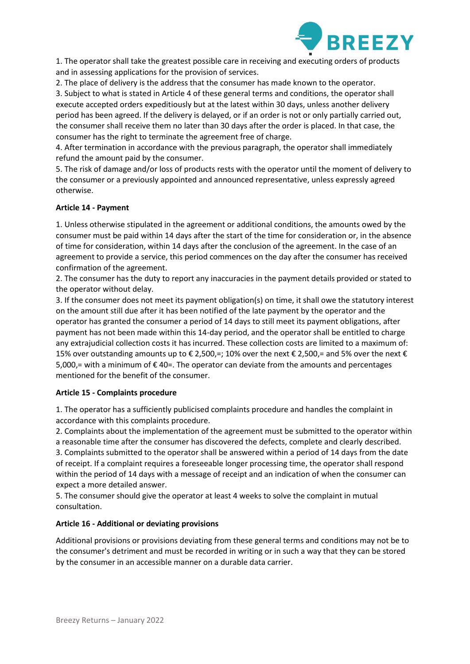

1. The operator shall take the greatest possible care in receiving and executing orders of products and in assessing applications for the provision of services.

2. The place of delivery is the address that the consumer has made known to the operator.

3. Subject to what is stated in Article 4 of these general terms and conditions, the operator shall execute accepted orders expeditiously but at the latest within 30 days, unless another delivery period has been agreed. If the delivery is delayed, or if an order is not or only partially carried out, the consumer shall receive them no later than 30 days after the order is placed. In that case, the consumer has the right to terminate the agreement free of charge.

4. After termination in accordance with the previous paragraph, the operator shall immediately refund the amount paid by the consumer.

5. The risk of damage and/or loss of products rests with the operator until the moment of delivery to the consumer or a previously appointed and announced representative, unless expressly agreed otherwise.

# **Article 14 - Payment**

1. Unless otherwise stipulated in the agreement or additional conditions, the amounts owed by the consumer must be paid within 14 days after the start of the time for consideration or, in the absence of time for consideration, within 14 days after the conclusion of the agreement. In the case of an agreement to provide a service, this period commences on the day after the consumer has received confirmation of the agreement.

2. The consumer has the duty to report any inaccuracies in the payment details provided or stated to the operator without delay.

3. If the consumer does not meet its payment obligation(s) on time, it shall owe the statutory interest on the amount still due after it has been notified of the late payment by the operator and the operator has granted the consumer a period of 14 days to still meet its payment obligations, after payment has not been made within this 14-day period, and the operator shall be entitled to charge any extrajudicial collection costs it has incurred. These collection costs are limited to a maximum of: 15% over outstanding amounts up to € 2,500,=; 10% over the next € 2,500,= and 5% over the next € 5,000,= with a minimum of € 40=. The operator can deviate from the amounts and percentages mentioned for the benefit of the consumer.

## **Article 15 - Complaints procedure**

1. The operator has a sufficiently publicised complaints procedure and handles the complaint in accordance with this complaints procedure.

2. Complaints about the implementation of the agreement must be submitted to the operator within a reasonable time after the consumer has discovered the defects, complete and clearly described. 3. Complaints submitted to the operator shall be answered within a period of 14 days from the date of receipt. If a complaint requires a foreseeable longer processing time, the operator shall respond

within the period of 14 days with a message of receipt and an indication of when the consumer can expect a more detailed answer.

5. The consumer should give the operator at least 4 weeks to solve the complaint in mutual consultation.

# **Article 16 - Additional or deviating provisions**

Additional provisions or provisions deviating from these general terms and conditions may not be to the consumer's detriment and must be recorded in writing or in such a way that they can be stored by the consumer in an accessible manner on a durable data carrier.